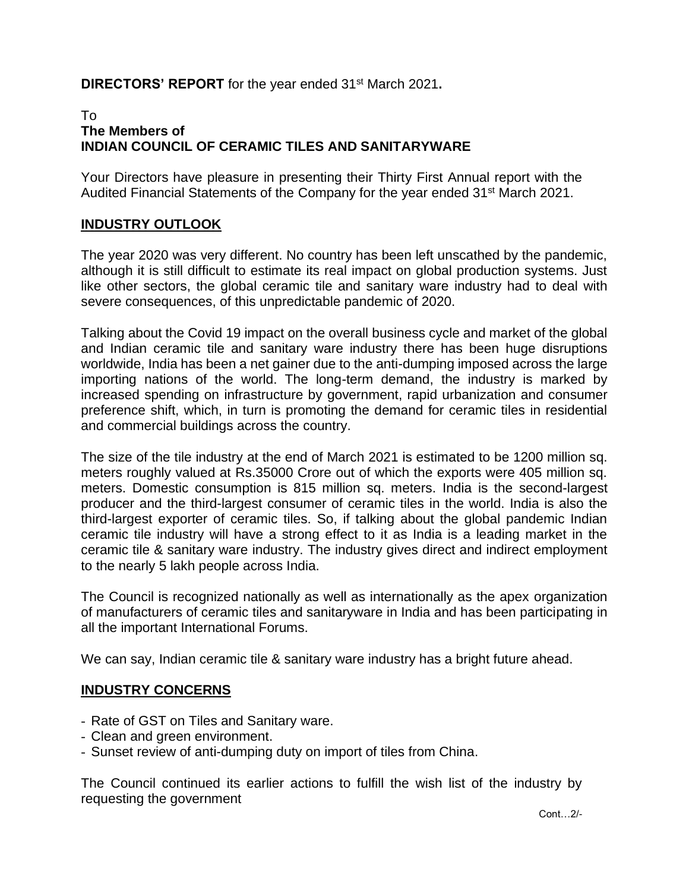# **DIRECTORS' REPORT** for the year ended 31<sup>st</sup> March 2021.

# To **The Members of INDIAN COUNCIL OF CERAMIC TILES AND SANITARYWARE**

Your Directors have pleasure in presenting their Thirty First Annual report with the Audited Financial Statements of the Company for the year ended 31<sup>st</sup> March 2021.

# **INDUSTRY OUTLOOK**

The year 2020 was very different. No country has been left unscathed by the pandemic, although it is still difficult to estimate its real impact on global production systems. Just like other sectors, the global ceramic tile and sanitary ware industry had to deal with severe consequences, of this unpredictable pandemic of 2020.

Talking about the Covid 19 impact on the overall business cycle and market of the global and Indian ceramic tile and sanitary ware industry there has been huge disruptions worldwide, India has been a net gainer due to the anti-dumping imposed across the large importing nations of the world. The long-term demand, the industry is marked by increased spending on infrastructure by government, rapid urbanization and consumer preference shift, which, in turn is promoting the demand for ceramic tiles in residential and commercial buildings across the country.

The size of the tile industry at the end of March 2021 is estimated to be 1200 million sq. meters roughly valued at Rs.35000 Crore out of which the exports were 405 million sq. meters. Domestic consumption is 815 million sq. meters. India is the second-largest producer and the third-largest consumer of ceramic tiles in the world. India is also the third-largest exporter of ceramic tiles. So, if talking about the global pandemic Indian ceramic tile industry will have a strong effect to it as India is a leading market in the ceramic tile & sanitary ware industry. The industry gives direct and indirect employment to the nearly 5 lakh people across India.

The Council is recognized nationally as well as internationally as the apex organization of manufacturers of ceramic tiles and sanitaryware in India and has been participating in all the important International Forums.

We can say, Indian ceramic tile & sanitary ware industry has a bright future ahead.

# **INDUSTRY CONCERNS**

- Rate of GST on Tiles and Sanitary ware.
- Clean and green environment.
- Sunset review of anti-dumping duty on import of tiles from China.

The Council continued its earlier actions to fulfill the wish list of the industry by requesting the government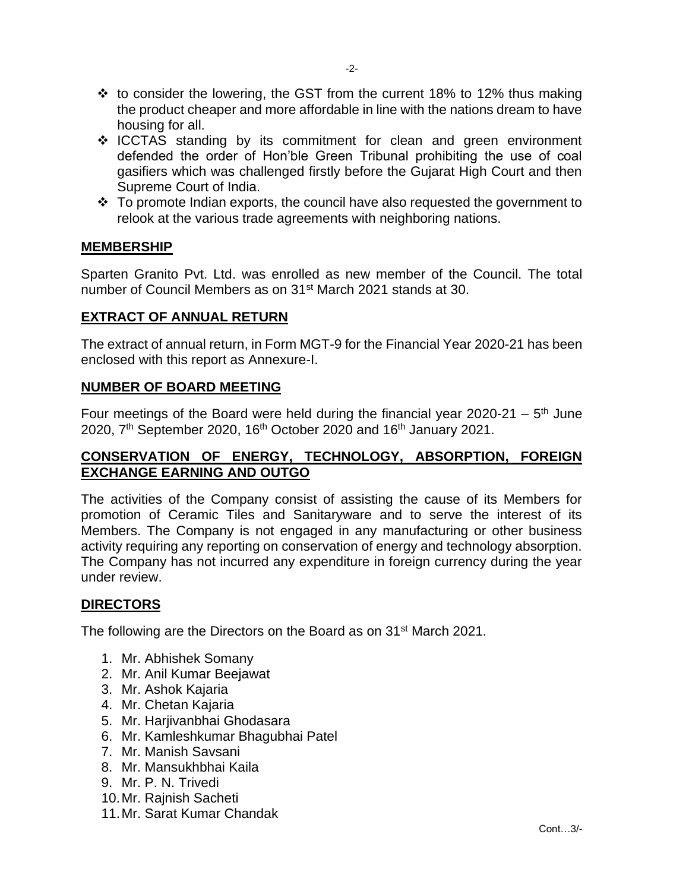- ❖ to consider the lowering, the GST from the current 18% to 12% thus making the product cheaper and more affordable in line with the nations dream to have housing for all.
- ❖ ICCTAS standing by its commitment for clean and green environment defended the order of Hon'ble Green Tribunal prohibiting the use of coal gasifiers which was challenged firstly before the Gujarat High Court and then Supreme Court of India.
- ❖ To promote Indian exports, the council have also requested the government to relook at the various trade agreements with neighboring nations.

# **MEMBERSHIP**

Sparten Granito Pvt. Ltd. was enrolled as new member of the Council. The total number of Council Members as on 31<sup>st</sup> March 2021 stands at 30.

#### **EXTRACT OF ANNUAL RETURN**

The extract of annual return, in Form MGT-9 for the Financial Year 2020-21 has been enclosed with this report as Annexure-I.

### **NUMBER OF BOARD MEETING**

Four meetings of the Board were held during the financial year 2020-21  $-5$ <sup>th</sup> June 2020, 7<sup>th</sup> September 2020, 16<sup>th</sup> October 2020 and 16<sup>th</sup> January 2021.

# **CONSERVATION OF ENERGY, TECHNOLOGY, ABSORPTION, FOREIGN EXCHANGE EARNING AND OUTGO**

The activities of the Company consist of assisting the cause of its Members for promotion of Ceramic Tiles and Sanitaryware and to serve the interest of its Members. The Company is not engaged in any manufacturing or other business activity requiring any reporting on conservation of energy and technology absorption. The Company has not incurred any expenditure in foreign currency during the year under review.

# **DIRECTORS**

The following are the Directors on the Board as on 31<sup>st</sup> March 2021.

- 1. Mr. Abhishek Somany
- 2. Mr. Anil Kumar Beejawat
- 3. Mr. Ashok Kajaria
- 4. Mr. Chetan Kajaria
- 5. Mr. Harjivanbhai Ghodasara
- 6. Mr. Kamleshkumar Bhagubhai Patel
- 7. Mr. Manish Savsani
- 8. Mr. Mansukhbhai Kaila
- 9. Mr. P. N. Trivedi
- 10.Mr. Rajnish Sacheti
- 11.Mr. Sarat Kumar Chandak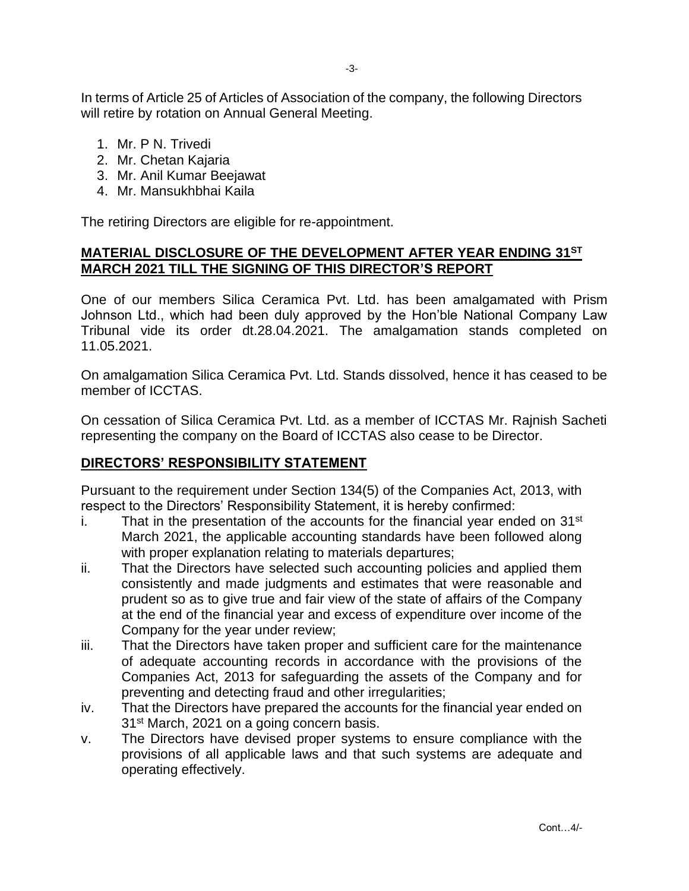In terms of Article 25 of Articles of Association of the company, the following Directors will retire by rotation on Annual General Meeting.

- 1. Mr. P N. Trivedi
- 2. Mr. Chetan Kajaria
- 3. Mr. Anil Kumar Beejawat
- 4. Mr. Mansukhbhai Kaila

The retiring Directors are eligible for re-appointment.

# **MATERIAL DISCLOSURE OF THE DEVELOPMENT AFTER YEAR ENDING 31ST MARCH 2021 TILL THE SIGNING OF THIS DIRECTOR'S REPORT**

One of our members Silica Ceramica Pvt. Ltd. has been amalgamated with Prism Johnson Ltd., which had been duly approved by the Hon'ble National Company Law Tribunal vide its order dt.28.04.2021. The amalgamation stands completed on 11.05.2021.

On amalgamation Silica Ceramica Pvt. Ltd. Stands dissolved, hence it has ceased to be member of ICCTAS.

On cessation of Silica Ceramica Pvt. Ltd. as a member of ICCTAS Mr. Rajnish Sacheti representing the company on the Board of ICCTAS also cease to be Director.

# **DIRECTORS' RESPONSIBILITY STATEMENT**

Pursuant to the requirement under Section 134(5) of the Companies Act, 2013, with respect to the Directors' Responsibility Statement, it is hereby confirmed:

- i. That in the presentation of the accounts for the financial year ended on  $31<sup>st</sup>$ March 2021, the applicable accounting standards have been followed along with proper explanation relating to materials departures;
- ii. That the Directors have selected such accounting policies and applied them consistently and made judgments and estimates that were reasonable and prudent so as to give true and fair view of the state of affairs of the Company at the end of the financial year and excess of expenditure over income of the Company for the year under review;
- iii. That the Directors have taken proper and sufficient care for the maintenance of adequate accounting records in accordance with the provisions of the Companies Act, 2013 for safeguarding the assets of the Company and for preventing and detecting fraud and other irregularities;
- iv. That the Directors have prepared the accounts for the financial year ended on 31<sup>st</sup> March, 2021 on a going concern basis.
- v. The Directors have devised proper systems to ensure compliance with the provisions of all applicable laws and that such systems are adequate and operating effectively.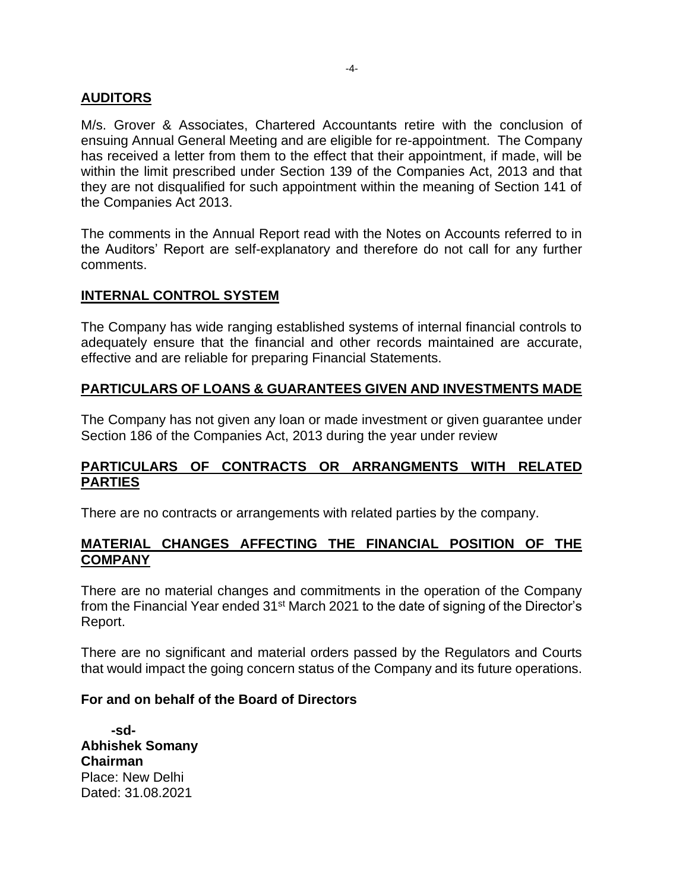# **AUDITORS**

M/s. Grover & Associates, Chartered Accountants retire with the conclusion of ensuing Annual General Meeting and are eligible for re-appointment. The Company has received a letter from them to the effect that their appointment, if made, will be within the limit prescribed under Section 139 of the Companies Act, 2013 and that they are not disqualified for such appointment within the meaning of Section 141 of the Companies Act 2013.

The comments in the Annual Report read with the Notes on Accounts referred to in the Auditors' Report are self-explanatory and therefore do not call for any further comments.

### **INTERNAL CONTROL SYSTEM**

The Company has wide ranging established systems of internal financial controls to adequately ensure that the financial and other records maintained are accurate, effective and are reliable for preparing Financial Statements.

### **PARTICULARS OF LOANS & GUARANTEES GIVEN AND INVESTMENTS MADE**

The Company has not given any loan or made investment or given guarantee under Section 186 of the Companies Act, 2013 during the year under review

# **PARTICULARS OF CONTRACTS OR ARRANGMENTS WITH RELATED PARTIES**

There are no contracts or arrangements with related parties by the company.

## **MATERIAL CHANGES AFFECTING THE FINANCIAL POSITION OF THE COMPANY**

There are no material changes and commitments in the operation of the Company from the Financial Year ended 31<sup>st</sup> March 2021 to the date of signing of the Director's Report.

There are no significant and material orders passed by the Regulators and Courts that would impact the going concern status of the Company and its future operations.

#### **For and on behalf of the Board of Directors**

 **-sd-Abhishek Somany Chairman** Place: New Delhi Dated: 31.08.2021